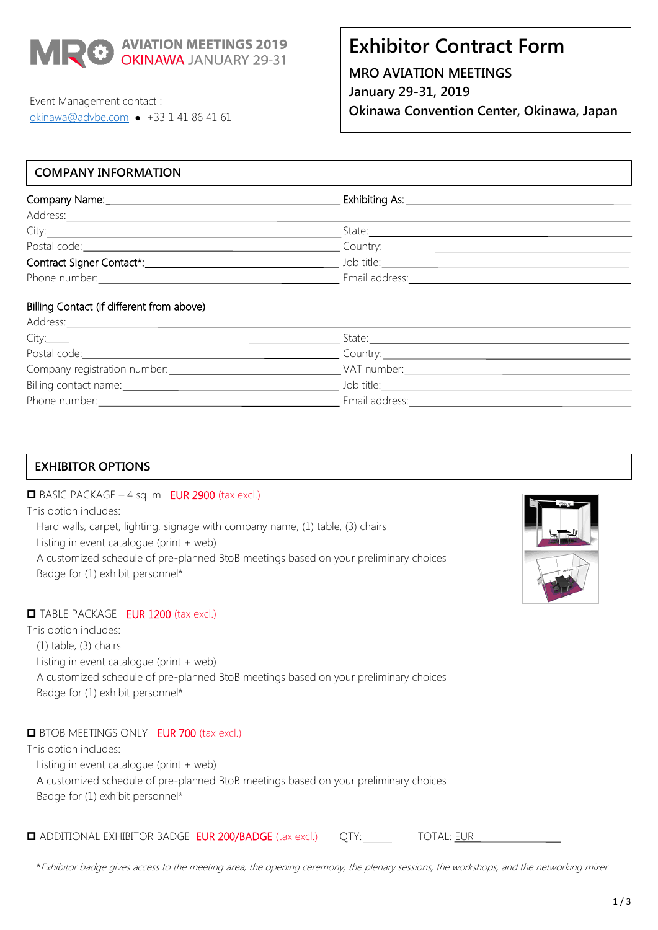

# **Exhibitor Contract Form**

**MRO AVIATION MEETINGS January 29-31, 2019 Okinawa Convention Center, Okinawa, Japan**

Event Management contact : [okinawa@advbe.com](mailto:okinawa@advbe.com) • +33 1 41 86 41 61

# **COMPANY INFORMATION**

| City:                                                                                                                                                                                                                          | State:                   |  |
|--------------------------------------------------------------------------------------------------------------------------------------------------------------------------------------------------------------------------------|--------------------------|--|
| Postal code: Note: Note: Note: Note: Note: Note: Note: Note: Note: Note: Note: Note: Note: Note: No                                                                                                                            | Country: <u>Country:</u> |  |
|                                                                                                                                                                                                                                | Job title:               |  |
| Phone number: example a state of the state of the state of the state of the state of the state of the state of the state of the state of the state of the state of the state of the state of the state of the state of the sta | Email address:           |  |
|                                                                                                                                                                                                                                |                          |  |

#### Billing Contact (if different from above) Address:

| Address.                                                                                                                                                                                                                       |                                                                                                                                                                                                                                |  |
|--------------------------------------------------------------------------------------------------------------------------------------------------------------------------------------------------------------------------------|--------------------------------------------------------------------------------------------------------------------------------------------------------------------------------------------------------------------------------|--|
| City:                                                                                                                                                                                                                          | State:                                                                                                                                                                                                                         |  |
| Postal code: <u>contract and contract and contract and code</u>                                                                                                                                                                |                                                                                                                                                                                                                                |  |
| Company registration number:                                                                                                                                                                                                   | VAT number: The contract of the contract of the contract of the contract of the contract of the contract of the contract of the contract of the contract of the contract of the contract of the contract of the contract of th |  |
| Billing contact name: 1997                                                                                                                                                                                                     | Job title: The contract of the contract of the contract of the contract of the contract of the contract of the                                                                                                                 |  |
| Phone number: example and the state of the state of the state of the state of the state of the state of the state of the state of the state of the state of the state of the state of the state of the state of the state of t | Email address:                                                                                                                                                                                                                 |  |
|                                                                                                                                                                                                                                |                                                                                                                                                                                                                                |  |

# $\Box$  BASIC PACKAGE – 4 sq. m EUR 2900 (tax excl.) This option includes: Hard walls, carpet, lighting, signage with company name, (1) table, (3) chairs Listing in event catalogue (print + web) A customized schedule of pre-planned BtoB meetings based on your preliminary choices Badge for (1) exhibit personnel\*

# TABLE PACKAGE EUR 1200 (tax excl.)

This option includes:

- (1) table, (3) chairs
- Listing in event catalogue (print + web)

A customized schedule of pre-planned BtoB meetings based on your preliminary choices Badge for (1) exhibit personnel\*

### **BTOB MEETINGS ONLY EUR 700 (tax excl.)**

This option includes: Listing in event catalogue (print + web) A customized schedule of pre-planned BtoB meetings based on your preliminary choices Badge for (1) exhibit personnel\*

**EXAMPLE ADDITIONAL EXHIBITOR BADGE EUR 200/BADGE** (tax excl.) QTY: TOTAL: EUR

\*Exhibitor badge gives access to the meeting area, the opening ceremony, the plenary sessions, the workshops, and the networking mixer

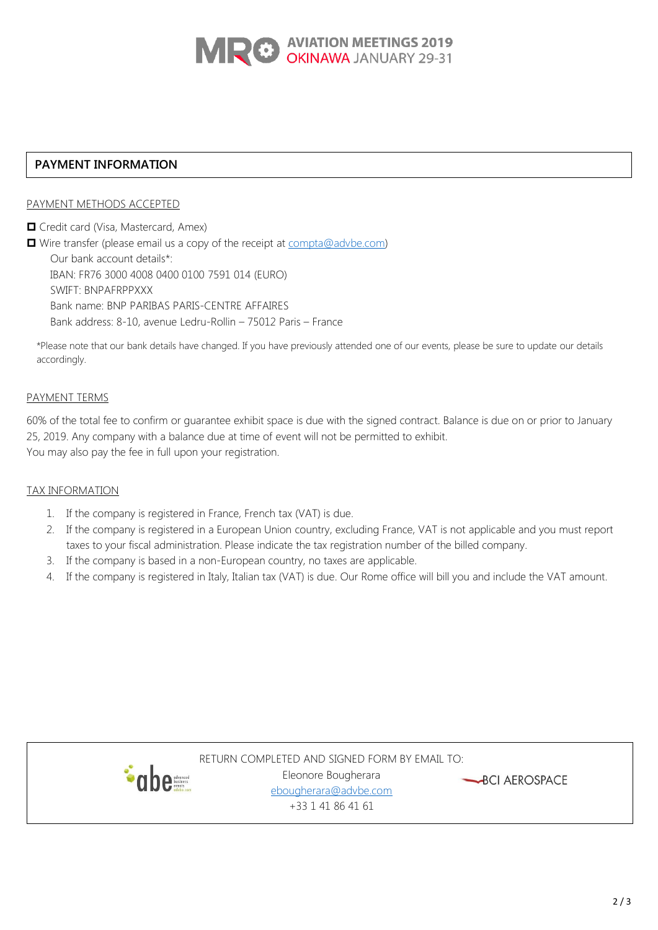

### **PAYMENT INFORMATION**

### PAYMENT METHODS ACCEPTED

**O** Credit card (Visa, Mastercard, Amex) ■ Wire transfer (please email us a copy of the receipt at [compta@advbe.com\)](mailto:compta@advbe.com) Our bank account details\*: IBAN: FR76 3000 4008 0400 0100 7591 014 (EURO) SWIFT: BNPAFRPPXXX Bank name: BNP PARIBAS PARIS-CENTRE AFFAIRES Bank address: 8-10, avenue Ledru-Rollin – 75012 Paris – France

\*Please note that our bank details have changed. If you have previously attended one of our events, please be sure to update our details accordingly.

### PAYMENT TERMS

60% of the total fee to confirm or guarantee exhibit space is due with the signed contract. Balance is due on or prior to January 25, 2019. Any company with a balance due at time of event will not be permitted to exhibit. You may also pay the fee in full upon your registration.

### TAX INFORMATION

- 1. If the company is registered in France, French tax (VAT) is due.
- 2. If the company is registered in a European Union country, excluding France, VAT is not applicable and you must report taxes to your fiscal administration. Please indicate the tax registration number of the billed company.
- 3. If the company is based in a non-European country, no taxes are applicable.
- 4. If the company is registered in Italy, Italian tax (VAT) is due. Our Rome office will bill you and include the VAT amount.



RETURN COMPLETED AND SIGNED FORM BY EMAIL TO: Eleonore Bougherara [ebougherara@advbe.com](mailto:ebougherara@advbe.com) +33 1 41 86 41 61

BCI AEROSPACE